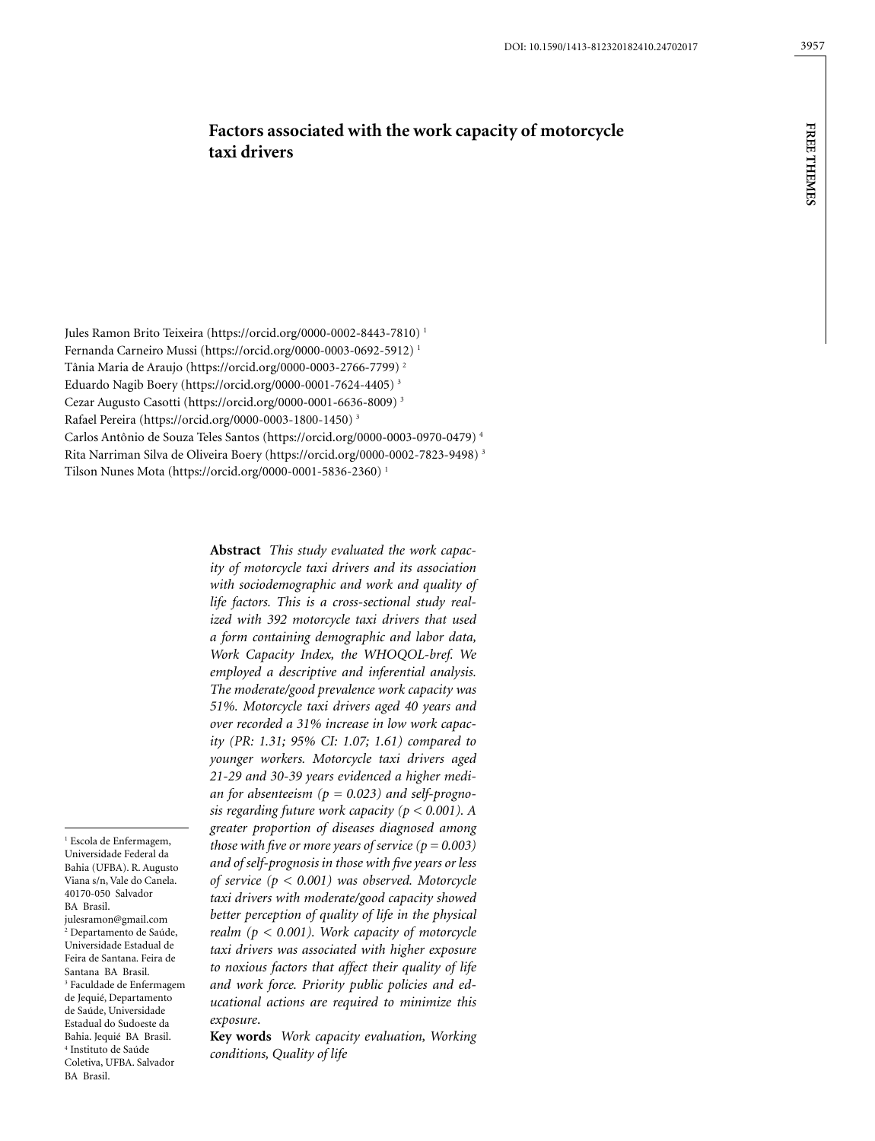**FREE THEMES free themes**

# **Factors associated with the work capacity of motorcycle taxi drivers**

Jules Ramon Brito Teixeira (https://orcid.org/0000-0002-8443-7810)<sup>1</sup> Fernanda Carneiro Mussi (https://orcid.org/0000-0003-0692-5912) 1 Tânia Maria de Araujo (https://orcid.org/0000-0003-2766-7799) 2 Eduardo Nagib Boery (https://orcid.org/0000-0001-7624-4405) 3 Cezar Augusto Casotti (https://orcid.org/0000-0001-6636-8009) 3 Rafael Pereira (https://orcid.org/0000-0003-1800-1450) 3 Carlos Antônio de Souza Teles Santos (https://orcid.org/0000-0003-0970-0479) 4 Rita Narriman Silva de Oliveira Boery (https://orcid.org/0000-0002-7823-9498) 3 Tilson Nunes Mota (https://orcid.org/0000-0001-5836-2360) 1

> **Abstract** *This study evaluated the work capacity of motorcycle taxi drivers and its association with sociodemographic and work and quality of life factors. This is a cross-sectional study realized with 392 motorcycle taxi drivers that used a form containing demographic and labor data, Work Capacity Index, the WHOQOL-bref. We employed a descriptive and inferential analysis. The moderate/good prevalence work capacity was 51%. Motorcycle taxi drivers aged 40 years and over recorded a 31% increase in low work capacity (PR: 1.31; 95% CI: 1.07; 1.61) compared to younger workers. Motorcycle taxi drivers aged 21-29 and 30-39 years evidenced a higher median for absenteeism (p = 0.023) and self-prognosis regarding future work capacity (p < 0.001). A greater proportion of diseases diagnosed among those with five or more years of service*  $(p = 0.003)$ *and of self-prognosis in those with five years or less of service (p < 0.001) was observed. Motorcycle taxi drivers with moderate/good capacity showed better perception of quality of life in the physical realm (p < 0.001). Work capacity of motorcycle taxi drivers was associated with higher exposure to noxious factors that affect their quality of life and work force. Priority public policies and educational actions are required to minimize this exposure*.

**Key words** *Work capacity evaluation, Working conditions, Quality of life*

1 Escola de Enfermagem, Universidade Federal da Bahia (UFBA). R. Augusto Viana s/n, Vale do Canela. 40170-050 Salvador BA Brasil. julesramon@gmail.com 2 Departamento de Saúde, Universidade Estadual de Feira de Santana. Feira de Santana BA Brasil. 3 Faculdade de Enfermagem de Jequié, Departamento de Saúde, Universidade Estadual do Sudoeste da Bahia. Jequié BA Brasil. 4 Instituto de Saúde Coletiva, UFBA. Salvador BA Brasil.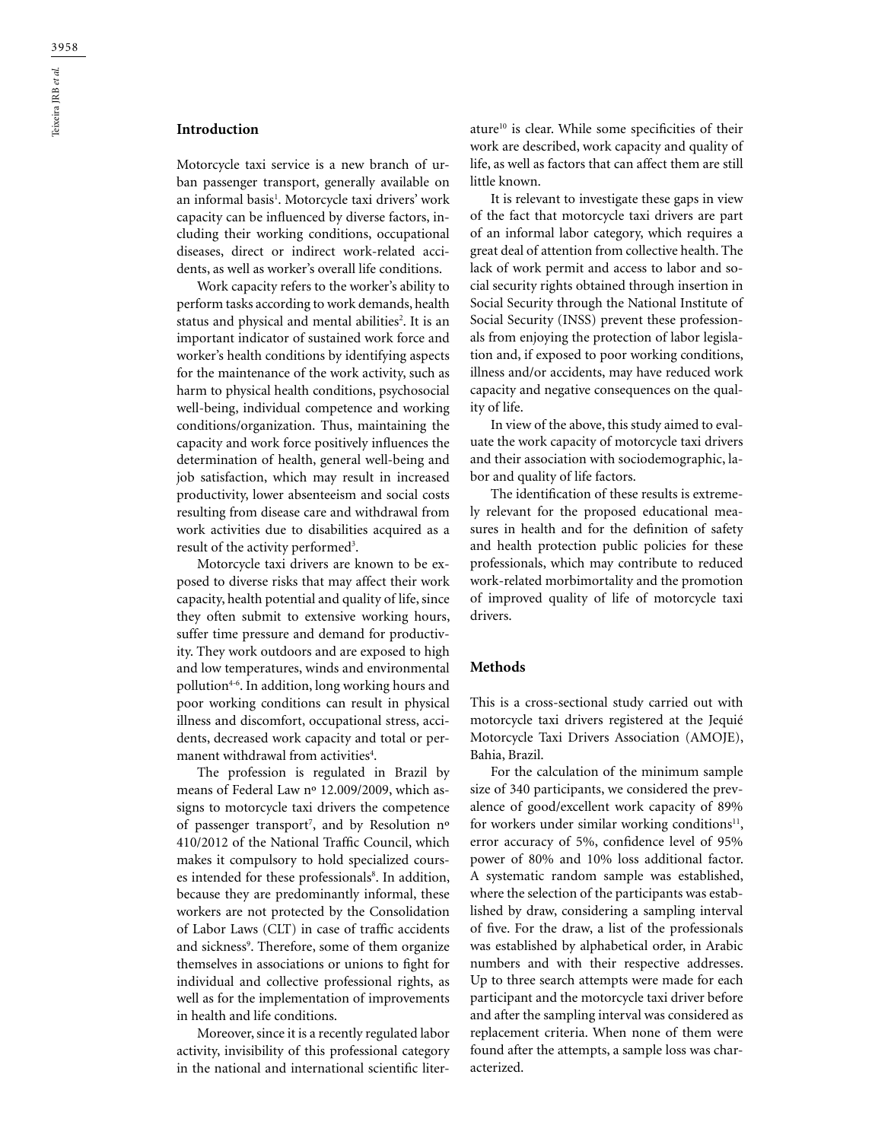# **Introduction**

Motorcycle taxi service is a new branch of urban passenger transport, generally available on an informal basis<sup>1</sup>. Motorcycle taxi drivers' work capacity can be influenced by diverse factors, including their working conditions, occupational diseases, direct or indirect work-related accidents, as well as worker's overall life conditions.

Work capacity refers to the worker's ability to perform tasks according to work demands, health status and physical and mental abilities<sup>2</sup>. It is an important indicator of sustained work force and worker's health conditions by identifying aspects for the maintenance of the work activity, such as harm to physical health conditions, psychosocial well-being, individual competence and working conditions/organization. Thus, maintaining the capacity and work force positively influences the determination of health, general well-being and job satisfaction, which may result in increased productivity, lower absenteeism and social costs resulting from disease care and withdrawal from work activities due to disabilities acquired as a result of the activity performed<sup>3</sup>.

Motorcycle taxi drivers are known to be exposed to diverse risks that may affect their work capacity, health potential and quality of life, since they often submit to extensive working hours, suffer time pressure and demand for productivity. They work outdoors and are exposed to high and low temperatures, winds and environmental pollution4-6. In addition, long working hours and poor working conditions can result in physical illness and discomfort, occupational stress, accidents, decreased work capacity and total or permanent withdrawal from activities<sup>4</sup>.

The profession is regulated in Brazil by means of Federal Law nº 12.009/2009, which assigns to motorcycle taxi drivers the competence of passenger transport7 , and by Resolution nº 410/2012 of the National Traffic Council, which makes it compulsory to hold specialized courses intended for these professionals<sup>8</sup>. In addition, because they are predominantly informal, these workers are not protected by the Consolidation of Labor Laws (CLT) in case of traffic accidents and sickness<sup>9</sup>. Therefore, some of them organize themselves in associations or unions to fight for individual and collective professional rights, as well as for the implementation of improvements in health and life conditions.

Moreover, since it is a recently regulated labor activity, invisibility of this professional category in the national and international scientific literature10 is clear. While some specificities of their work are described, work capacity and quality of life, as well as factors that can affect them are still little known.

It is relevant to investigate these gaps in view of the fact that motorcycle taxi drivers are part of an informal labor category, which requires a great deal of attention from collective health. The lack of work permit and access to labor and social security rights obtained through insertion in Social Security through the National Institute of Social Security (INSS) prevent these professionals from enjoying the protection of labor legislation and, if exposed to poor working conditions, illness and/or accidents, may have reduced work capacity and negative consequences on the quality of life.

In view of the above, this study aimed to evaluate the work capacity of motorcycle taxi drivers and their association with sociodemographic, labor and quality of life factors.

The identification of these results is extremely relevant for the proposed educational measures in health and for the definition of safety and health protection public policies for these professionals, which may contribute to reduced work-related morbimortality and the promotion of improved quality of life of motorcycle taxi drivers.

## **Methods**

This is a cross-sectional study carried out with motorcycle taxi drivers registered at the Jequié Motorcycle Taxi Drivers Association (AMOJE), Bahia, Brazil.

For the calculation of the minimum sample size of 340 participants, we considered the prevalence of good/excellent work capacity of 89% for workers under similar working conditions $11$ , error accuracy of 5%, confidence level of 95% power of 80% and 10% loss additional factor. A systematic random sample was established, where the selection of the participants was established by draw, considering a sampling interval of five. For the draw, a list of the professionals was established by alphabetical order, in Arabic numbers and with their respective addresses. Up to three search attempts were made for each participant and the motorcycle taxi driver before and after the sampling interval was considered as replacement criteria. When none of them were found after the attempts, a sample loss was characterized.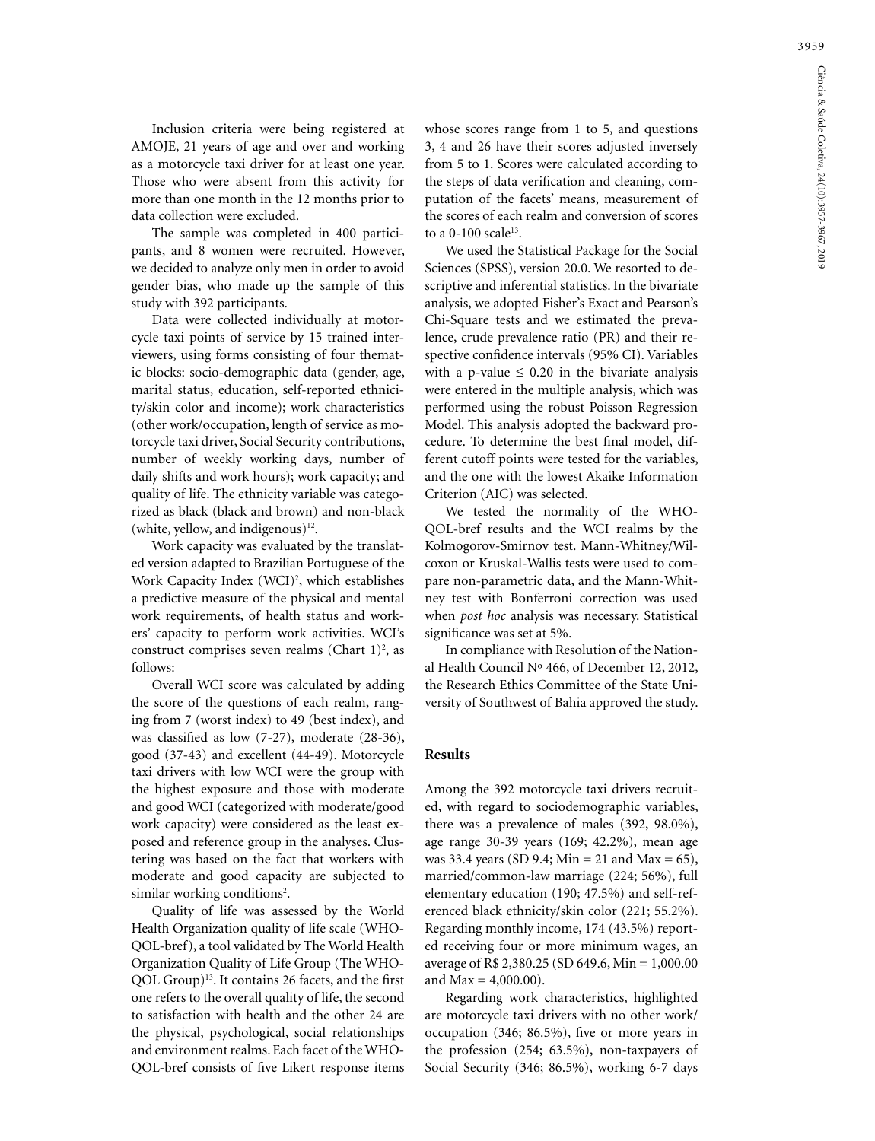Inclusion criteria were being registered at AMOJE, 21 years of age and over and working as a motorcycle taxi driver for at least one year. Those who were absent from this activity for more than one month in the 12 months prior to data collection were excluded.

The sample was completed in 400 participants, and 8 women were recruited. However, we decided to analyze only men in order to avoid gender bias, who made up the sample of this study with 392 participants.

Data were collected individually at motorcycle taxi points of service by 15 trained interviewers, using forms consisting of four thematic blocks: socio-demographic data (gender, age, marital status, education, self-reported ethnicity/skin color and income); work characteristics (other work/occupation, length of service as motorcycle taxi driver, Social Security contributions, number of weekly working days, number of daily shifts and work hours); work capacity; and quality of life. The ethnicity variable was categorized as black (black and brown) and non-black (white, yellow, and indigenous) $12$ .

Work capacity was evaluated by the translated version adapted to Brazilian Portuguese of the Work Capacity Index (WCI)<sup>2</sup>, which establishes a predictive measure of the physical and mental work requirements, of health status and workers' capacity to perform work activities. WCI's construct comprises seven realms (Chart  $1$ )<sup>2</sup>, as follows:

Overall WCI score was calculated by adding the score of the questions of each realm, ranging from 7 (worst index) to 49 (best index), and was classified as low (7-27), moderate (28-36), good (37-43) and excellent (44-49). Motorcycle taxi drivers with low WCI were the group with the highest exposure and those with moderate and good WCI (categorized with moderate/good work capacity) were considered as the least exposed and reference group in the analyses. Clustering was based on the fact that workers with moderate and good capacity are subjected to similar working conditions<sup>2</sup>.

Quality of life was assessed by the World Health Organization quality of life scale (WHO-QOL-bref), a tool validated by The World Health Organization Quality of Life Group (The WHO-QOL Group)13. It contains 26 facets, and the first one refers to the overall quality of life, the second to satisfaction with health and the other 24 are the physical, psychological, social relationships and environment realms. Each facet of the WHO-QOL-bref consists of five Likert response items whose scores range from 1 to 5, and questions 3, 4 and 26 have their scores adjusted inversely from 5 to 1. Scores were calculated according to the steps of data verification and cleaning, computation of the facets' means, measurement of the scores of each realm and conversion of scores to a  $0-100$  scale<sup>13</sup>.

We used the Statistical Package for the Social Sciences (SPSS), version 20.0. We resorted to descriptive and inferential statistics. In the bivariate analysis, we adopted Fisher's Exact and Pearson's Chi-Square tests and we estimated the prevalence, crude prevalence ratio (PR) and their respective confidence intervals (95% CI). Variables with a p-value  $\leq 0.20$  in the bivariate analysis were entered in the multiple analysis, which was performed using the robust Poisson Regression Model. This analysis adopted the backward procedure. To determine the best final model, different cutoff points were tested for the variables, and the one with the lowest Akaike Information Criterion (AIC) was selected.

We tested the normality of the WHO-QOL-bref results and the WCI realms by the Kolmogorov-Smirnov test. Mann-Whitney/Wilcoxon or Kruskal-Wallis tests were used to compare non-parametric data, and the Mann-Whitney test with Bonferroni correction was used when *post hoc* analysis was necessary. Statistical significance was set at 5%.

In compliance with Resolution of the National Health Council Nº 466, of December 12, 2012, the Research Ethics Committee of the State University of Southwest of Bahia approved the study.

### **Results**

Among the 392 motorcycle taxi drivers recruited, with regard to sociodemographic variables, there was a prevalence of males (392, 98.0%), age range 30-39 years (169; 42.2%), mean age was 33.4 years (SD 9.4; Min = 21 and Max = 65), married/common-law marriage (224; 56%), full elementary education (190; 47.5%) and self-referenced black ethnicity/skin color (221; 55.2%). Regarding monthly income, 174 (43.5%) reported receiving four or more minimum wages, an average of R\$ 2,380.25 (SD 649.6, Min = 1,000.00 and  $Max = 4,000.00$ ).

Regarding work characteristics, highlighted are motorcycle taxi drivers with no other work/ occupation (346; 86.5%), five or more years in the profession (254; 63.5%), non-taxpayers of Social Security (346; 86.5%), working 6-7 days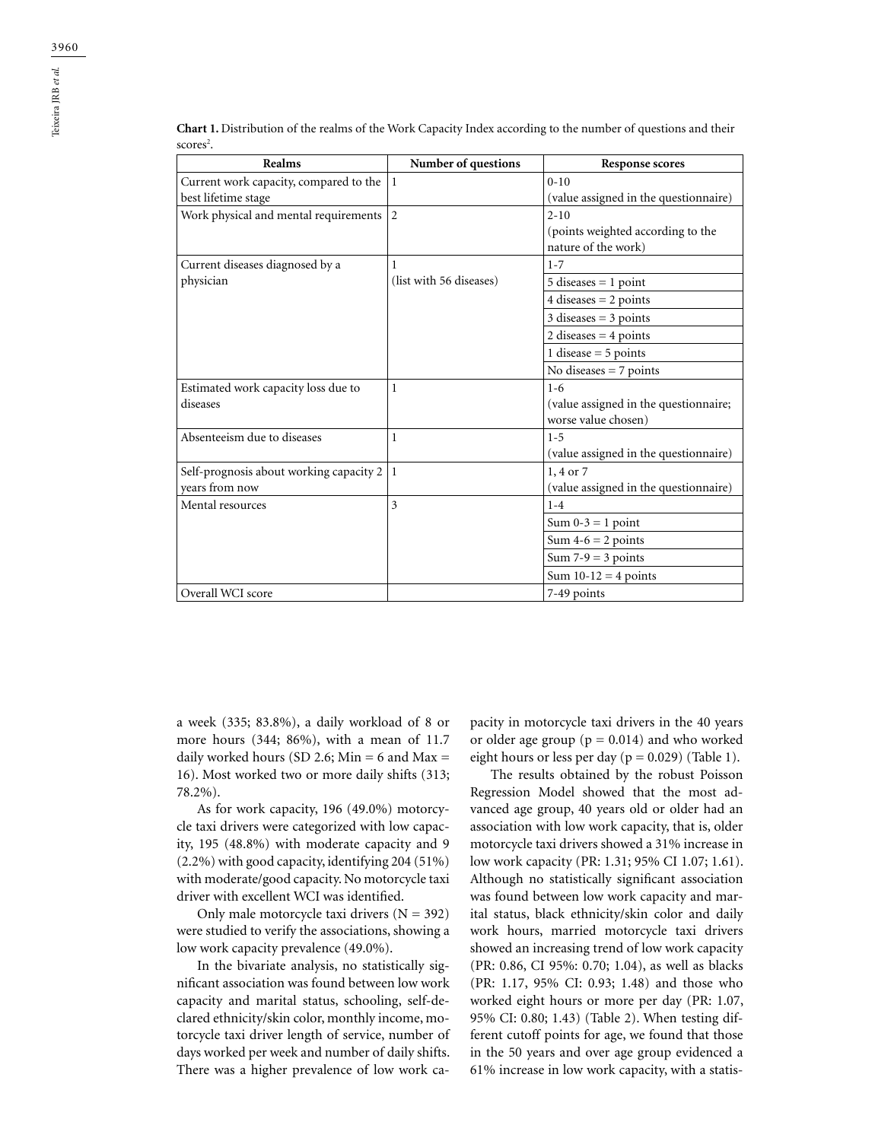| Realms                                  | Number of questions     | <b>Response scores</b>                |
|-----------------------------------------|-------------------------|---------------------------------------|
| Current work capacity, compared to the  | -1                      | $0 - 10$                              |
| best lifetime stage                     |                         | (value assigned in the questionnaire) |
| Work physical and mental requirements   | 2                       | $2 - 10$                              |
|                                         |                         | (points weighted according to the     |
|                                         |                         | nature of the work)                   |
| Current diseases diagnosed by a         | 1                       | $1 - 7$                               |
| physician                               | (list with 56 diseases) | $5$ diseases = 1 point                |
|                                         |                         | 4 diseases $= 2$ points               |
|                                         |                         | $3$ diseases = $3$ points             |
|                                         |                         | 2 diseases $=$ 4 points               |
|                                         |                         | 1 disease $=$ 5 points                |
|                                         |                         | No diseases $= 7$ points              |
| Estimated work capacity loss due to     | 1                       | $1 - 6$                               |
| diseases                                |                         | (value assigned in the questionnaire; |
|                                         |                         | worse value chosen)                   |
| Absenteeism due to diseases             | 1                       | $1 - 5$                               |
|                                         |                         | (value assigned in the questionnaire) |
| Self-prognosis about working capacity 2 | -1                      | 1, 4 or 7                             |
| years from now                          |                         | (value assigned in the questionnaire) |
| Mental resources                        | 3                       | $1 - 4$                               |
|                                         |                         | Sum $0-3 = 1$ point                   |
|                                         |                         | Sum $4-6 = 2$ points                  |
|                                         |                         | Sum $7-9 = 3$ points                  |
|                                         |                         | Sum $10-12 = 4$ points                |
| Overall WCI score                       |                         | 7-49 points                           |

**Chart 1.** Distribution of the realms of the Work Capacity Index according to the number of questions and their scores<sup>2</sup>.

a week (335; 83.8%), a daily workload of 8 or more hours (344; 86%), with a mean of 11.7 daily worked hours (SD 2.6; Min = 6 and Max = 16). Most worked two or more daily shifts (313; 78.2%).

As for work capacity, 196 (49.0%) motorcycle taxi drivers were categorized with low capacity, 195 (48.8%) with moderate capacity and 9 (2.2%) with good capacity, identifying 204 (51%) with moderate/good capacity. No motorcycle taxi driver with excellent WCI was identified.

Only male motorcycle taxi drivers  $(N = 392)$ were studied to verify the associations, showing a low work capacity prevalence (49.0%).

In the bivariate analysis, no statistically significant association was found between low work capacity and marital status, schooling, self-declared ethnicity/skin color, monthly income, motorcycle taxi driver length of service, number of days worked per week and number of daily shifts. There was a higher prevalence of low work capacity in motorcycle taxi drivers in the 40 years or older age group ( $p = 0.014$ ) and who worked eight hours or less per day ( $p = 0.029$ ) (Table 1).

The results obtained by the robust Poisson Regression Model showed that the most advanced age group, 40 years old or older had an association with low work capacity, that is, older motorcycle taxi drivers showed a 31% increase in low work capacity (PR: 1.31; 95% CI 1.07; 1.61). Although no statistically significant association was found between low work capacity and marital status, black ethnicity/skin color and daily work hours, married motorcycle taxi drivers showed an increasing trend of low work capacity (PR: 0.86, CI 95%: 0.70; 1.04), as well as blacks (PR: 1.17, 95% CI: 0.93; 1.48) and those who worked eight hours or more per day (PR: 1.07, 95% CI: 0.80; 1.43) (Table 2). When testing different cutoff points for age, we found that those in the 50 years and over age group evidenced a 61% increase in low work capacity, with a statis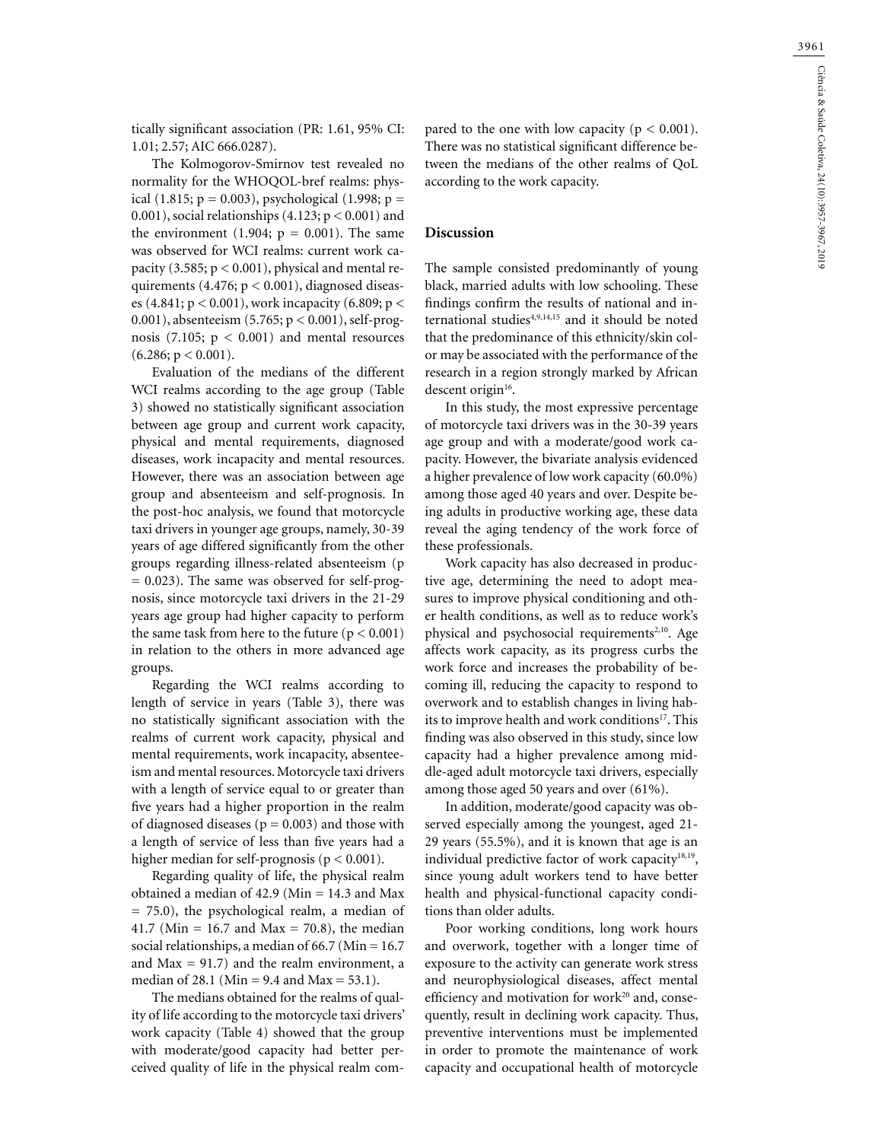tically significant association (PR: 1.61, 95% CI: 1.01; 2.57; AIC 666.0287).

The Kolmogorov-Smirnov test revealed no normality for the WHOQOL-bref realms: physical (1.815;  $p = 0.003$ ), psychological (1.998;  $p =$ 0.001), social relationships  $(4.123; p < 0.001)$  and the environment (1.904;  $p = 0.001$ ). The same was observed for WCI realms: current work capacity (3.585;  $p < 0.001$ ), physical and mental requirements (4.476; p < 0.001), diagnosed diseases (4.841; p < 0.001), work incapacity (6.809; p < 0.001), absenteeism (5.765; p < 0.001), self-prognosis (7.105;  $p < 0.001$ ) and mental resources  $(6.286; p < 0.001)$ .

Evaluation of the medians of the different WCI realms according to the age group (Table 3) showed no statistically significant association between age group and current work capacity, physical and mental requirements, diagnosed diseases, work incapacity and mental resources. However, there was an association between age group and absenteeism and self-prognosis. In the post-hoc analysis, we found that motorcycle taxi drivers in younger age groups, namely, 30-39 years of age differed significantly from the other groups regarding illness-related absenteeism (p  $= 0.023$ ). The same was observed for self-prognosis, since motorcycle taxi drivers in the 21-29 years age group had higher capacity to perform the same task from here to the future  $(p < 0.001)$ in relation to the others in more advanced age groups.

Regarding the WCI realms according to length of service in years (Table 3), there was no statistically significant association with the realms of current work capacity, physical and mental requirements, work incapacity, absenteeism and mental resources. Motorcycle taxi drivers with a length of service equal to or greater than five years had a higher proportion in the realm of diagnosed diseases ( $p = 0.003$ ) and those with a length of service of less than five years had a higher median for self-prognosis ( $p < 0.001$ ).

Regarding quality of life, the physical realm obtained a median of 42.9 (Min = 14.3 and Max = 75.0), the psychological realm, a median of 41.7 (Min = 16.7 and Max = 70.8), the median social relationships, a median of 66.7 (Min = 16.7 and  $Max = 91.7$  and the realm environment, a median of 28.1 (Min = 9.4 and Max =  $53.1$ ).

The medians obtained for the realms of quality of life according to the motorcycle taxi drivers' work capacity (Table 4) showed that the group with moderate/good capacity had better perceived quality of life in the physical realm com-

pared to the one with low capacity ( $p < 0.001$ ). There was no statistical significant difference between the medians of the other realms of QoL according to the work capacity.

#### **Discussion**

The sample consisted predominantly of young black, married adults with low schooling. These findings confirm the results of national and international studies4,9,14,15 and it should be noted that the predominance of this ethnicity/skin color may be associated with the performance of the research in a region strongly marked by African descent origin<sup>16</sup>.

In this study, the most expressive percentage of motorcycle taxi drivers was in the 30-39 years age group and with a moderate/good work capacity. However, the bivariate analysis evidenced a higher prevalence of low work capacity (60.0%) among those aged 40 years and over. Despite being adults in productive working age, these data reveal the aging tendency of the work force of these professionals.

Work capacity has also decreased in productive age, determining the need to adopt measures to improve physical conditioning and other health conditions, as well as to reduce work's physical and psychosocial requirements<sup>2,10</sup>. Age affects work capacity, as its progress curbs the work force and increases the probability of becoming ill, reducing the capacity to respond to overwork and to establish changes in living habits to improve health and work conditions<sup>17</sup>. This finding was also observed in this study, since low capacity had a higher prevalence among middle-aged adult motorcycle taxi drivers, especially among those aged 50 years and over (61%).

In addition, moderate/good capacity was observed especially among the youngest, aged 21- 29 years (55.5%), and it is known that age is an individual predictive factor of work capacity $18,19$ , since young adult workers tend to have better health and physical-functional capacity conditions than older adults.

Poor working conditions, long work hours and overwork, together with a longer time of exposure to the activity can generate work stress and neurophysiological diseases, affect mental efficiency and motivation for work $20$  and, consequently, result in declining work capacity. Thus, preventive interventions must be implemented in order to promote the maintenance of work capacity and occupational health of motorcycle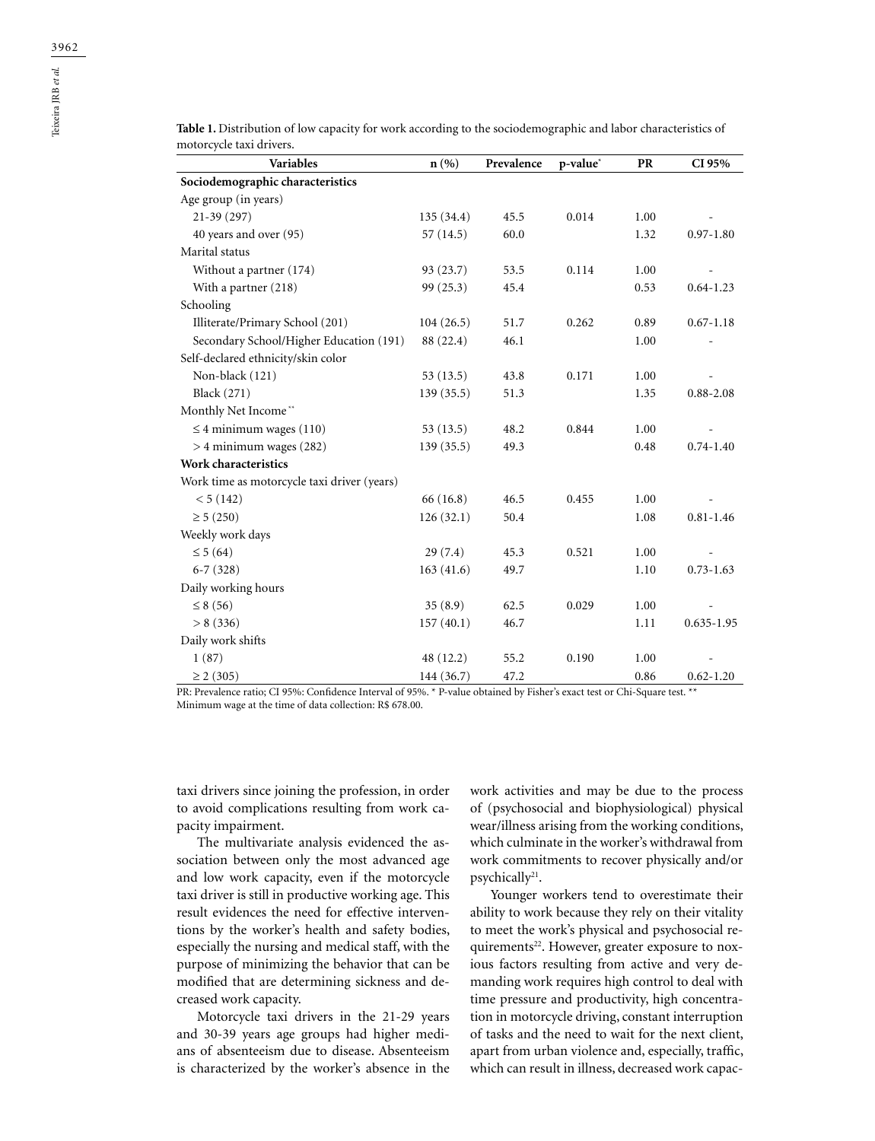| <b>Variables</b>                            | $\mathbf{n}(\%)$ | Prevalence | p-value <sup>*</sup> | PR   | CI 95%         |
|---------------------------------------------|------------------|------------|----------------------|------|----------------|
| Sociodemographic characteristics            |                  |            |                      |      |                |
| Age group (in years)                        |                  |            |                      |      |                |
| $21-39(297)$                                | 135 (34.4)       | 45.5       | 0.014                | 1.00 |                |
| 40 years and over (95)                      | 57(14.5)         | 60.0       |                      | 1.32 | $0.97 - 1.80$  |
| Marital status                              |                  |            |                      |      |                |
| Without a partner (174)                     | 93(23.7)         | 53.5       | 0.114                | 1.00 |                |
| With a partner (218)                        | 99(25.3)         | 45.4       |                      | 0.53 | $0.64 - 1.23$  |
| Schooling                                   |                  |            |                      |      |                |
| Illiterate/Primary School (201)             | 104(26.5)        | 51.7       | 0.262                | 0.89 | $0.67 - 1.18$  |
| Secondary School/Higher Education (191)     | 88 (22.4)        | 46.1       |                      | 1.00 |                |
| Self-declared ethnicity/skin color          |                  |            |                      |      |                |
| Non-black (121)                             | 53(13.5)         | 43.8       | 0.171                | 1.00 |                |
| <b>Black</b> (271)                          | 139(35.5)        | 51.3       |                      | 1.35 | $0.88 - 2.08$  |
| Monthly Net Income**                        |                  |            |                      |      |                |
| $\leq$ 4 minimum wages (110)                | 53(13.5)         | 48.2       | 0.844                | 1.00 |                |
| $>$ 4 minimum wages (282)                   | 139(35.5)        | 49.3       |                      | 0.48 | $0.74 - 1.40$  |
| Work characteristics                        |                  |            |                      |      |                |
| Work time as motorcycle taxi driver (years) |                  |            |                      |      |                |
| < 5(142)                                    | 66 (16.8)        | 46.5       | 0.455                | 1.00 |                |
| $\geq 5(250)$                               | 126(32.1)        | 50.4       |                      | 1.08 | $0.81 - 1.46$  |
| Weekly work days                            |                  |            |                      |      |                |
| $\leq 5(64)$                                | 29(7.4)          | 45.3       | 0.521                | 1.00 |                |
| $6-7(328)$                                  | 163(41.6)        | 49.7       |                      | 1.10 | $0.73 - 1.63$  |
| Daily working hours                         |                  |            |                      |      |                |
| $\leq 8(56)$                                | 35(8.9)          | 62.5       | 0.029                | 1.00 |                |
| > 8(336)                                    | 157(40.1)        | 46.7       |                      | 1.11 | $0.635 - 1.95$ |
| Daily work shifts                           |                  |            |                      |      |                |
| 1(87)                                       | 48 (12.2)        | 55.2       | 0.190                | 1.00 |                |
| $\geq$ 2 (305)                              | 144 (36.7)       | 47.2       |                      | 0.86 | $0.62 - 1.20$  |

**Table 1.** Distribution of low capacity for work according to the sociodemographic and labor characteristics of motorcycle taxi drivers.

PR: Prevalence ratio; CI 95%: Confidence Interval of 95%. \* P-value obtained by Fisher's exact test or Chi-Square test. \*\* Minimum wage at the time of data collection: R\$ 678.00.

taxi drivers since joining the profession, in order to avoid complications resulting from work capacity impairment.

The multivariate analysis evidenced the association between only the most advanced age and low work capacity, even if the motorcycle taxi driver is still in productive working age. This result evidences the need for effective interventions by the worker's health and safety bodies, especially the nursing and medical staff, with the purpose of minimizing the behavior that can be modified that are determining sickness and decreased work capacity.

Motorcycle taxi drivers in the 21-29 years and 30-39 years age groups had higher medians of absenteeism due to disease. Absenteeism is characterized by the worker's absence in the work activities and may be due to the process of (psychosocial and biophysiological) physical wear/illness arising from the working conditions, which culminate in the worker's withdrawal from work commitments to recover physically and/or psychically<sup>21</sup>.

Younger workers tend to overestimate their ability to work because they rely on their vitality to meet the work's physical and psychosocial requirements<sup>22</sup>. However, greater exposure to noxious factors resulting from active and very demanding work requires high control to deal with time pressure and productivity, high concentration in motorcycle driving, constant interruption of tasks and the need to wait for the next client, apart from urban violence and, especially, traffic, which can result in illness, decreased work capac-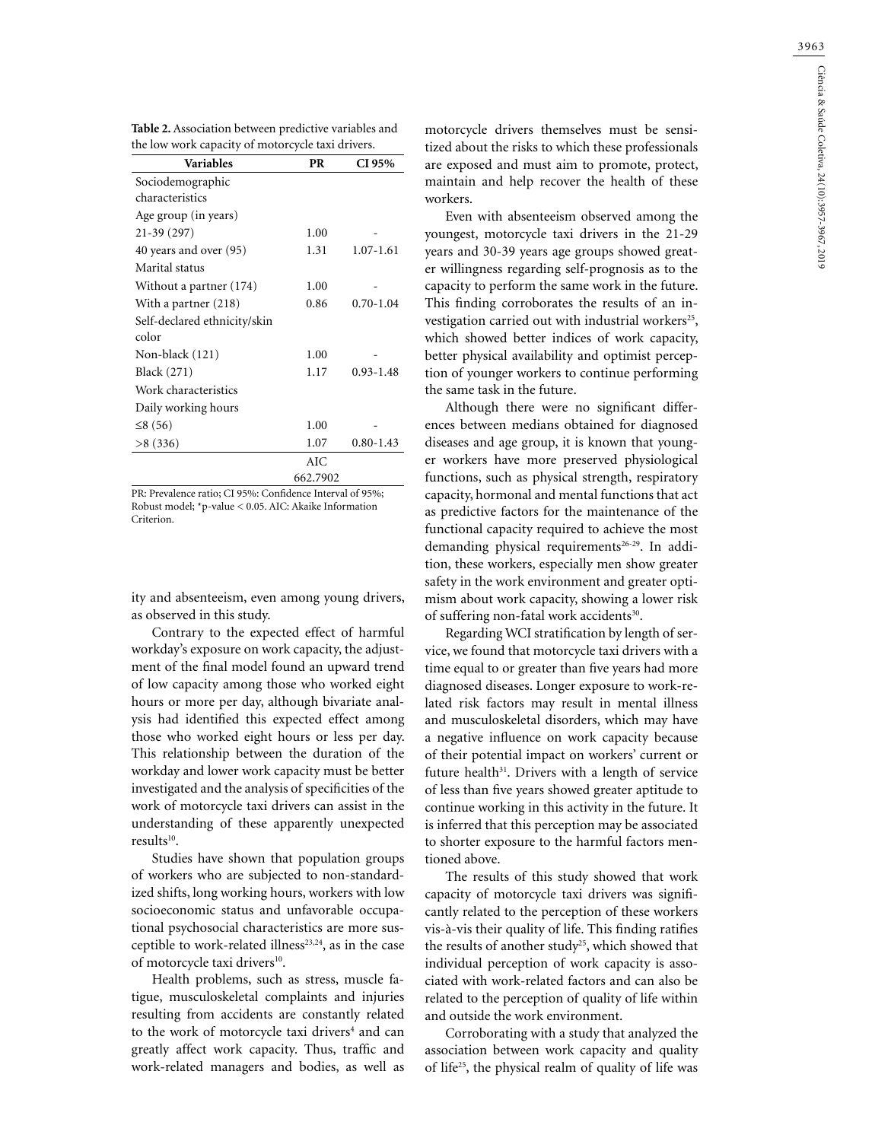| Table 2. Association between predictive variables and |  |
|-------------------------------------------------------|--|
| the low work capacity of motorcycle taxi drivers.     |  |

| Variables                    | PR       | CI 95%        |
|------------------------------|----------|---------------|
| Sociodemographic             |          |               |
| characteristics              |          |               |
| Age group (in years)         |          |               |
| $21-39(297)$                 | 1.00     |               |
| 40 years and over (95)       | 1.31     | $1.07 - 1.61$ |
| Marital status               |          |               |
| Without a partner (174)      | 1.00     |               |
| With a partner (218)         | 0.86     | $0.70 - 1.04$ |
| Self-declared ethnicity/skin |          |               |
| color                        |          |               |
| Non-black (121)              | 1.00     |               |
| Black (271)                  | 1.17     | $0.93 - 1.48$ |
| Work characteristics         |          |               |
| Daily working hours          |          |               |
| $\leq 8(56)$                 | 1.00     |               |
| >8(336)                      | 1.07     | $0.80 - 1.43$ |
|                              | AIC      |               |
|                              | 662.7902 |               |

PR: Prevalence ratio; CI 95%: Confidence Interval of 95%; Robust model; \*p-value < 0.05. AIC: Akaike Information Criterion.

ity and absenteeism, even among young drivers, as observed in this study.

Contrary to the expected effect of harmful workday's exposure on work capacity, the adjustment of the final model found an upward trend of low capacity among those who worked eight hours or more per day, although bivariate analysis had identified this expected effect among those who worked eight hours or less per day. This relationship between the duration of the workday and lower work capacity must be better investigated and the analysis of specificities of the work of motorcycle taxi drivers can assist in the understanding of these apparently unexpected results<sup>10</sup>.

Studies have shown that population groups of workers who are subjected to non-standardized shifts, long working hours, workers with low socioeconomic status and unfavorable occupational psychosocial characteristics are more susceptible to work-related illness<sup>23,24</sup>, as in the case of motorcycle taxi drivers<sup>10</sup>.

Health problems, such as stress, muscle fatigue, musculoskeletal complaints and injuries resulting from accidents are constantly related to the work of motorcycle taxi drivers<sup>4</sup> and can greatly affect work capacity. Thus, traffic and work-related managers and bodies, as well as

motorcycle drivers themselves must be sensitized about the risks to which these professionals are exposed and must aim to promote, protect, maintain and help recover the health of these workers.

Even with absenteeism observed among the youngest, motorcycle taxi drivers in the 21-29 years and 30-39 years age groups showed greater willingness regarding self-prognosis as to the capacity to perform the same work in the future. This finding corroborates the results of an investigation carried out with industrial workers<sup>25</sup>, which showed better indices of work capacity, better physical availability and optimist perception of younger workers to continue performing the same task in the future.

Although there were no significant differences between medians obtained for diagnosed diseases and age group, it is known that younger workers have more preserved physiological functions, such as physical strength, respiratory capacity, hormonal and mental functions that act as predictive factors for the maintenance of the functional capacity required to achieve the most demanding physical requirements<sup>26-29</sup>. In addition, these workers, especially men show greater safety in the work environment and greater optimism about work capacity, showing a lower risk of suffering non-fatal work accidents<sup>30</sup>.

Regarding WCI stratification by length of service, we found that motorcycle taxi drivers with a time equal to or greater than five years had more diagnosed diseases. Longer exposure to work-related risk factors may result in mental illness and musculoskeletal disorders, which may have a negative influence on work capacity because of their potential impact on workers' current or future health $31$ . Drivers with a length of service of less than five years showed greater aptitude to continue working in this activity in the future. It is inferred that this perception may be associated to shorter exposure to the harmful factors mentioned above.

The results of this study showed that work capacity of motorcycle taxi drivers was significantly related to the perception of these workers vis-à-vis their quality of life. This finding ratifies the results of another study<sup>25</sup>, which showed that individual perception of work capacity is associated with work-related factors and can also be related to the perception of quality of life within and outside the work environment.

Corroborating with a study that analyzed the association between work capacity and quality of life25, the physical realm of quality of life was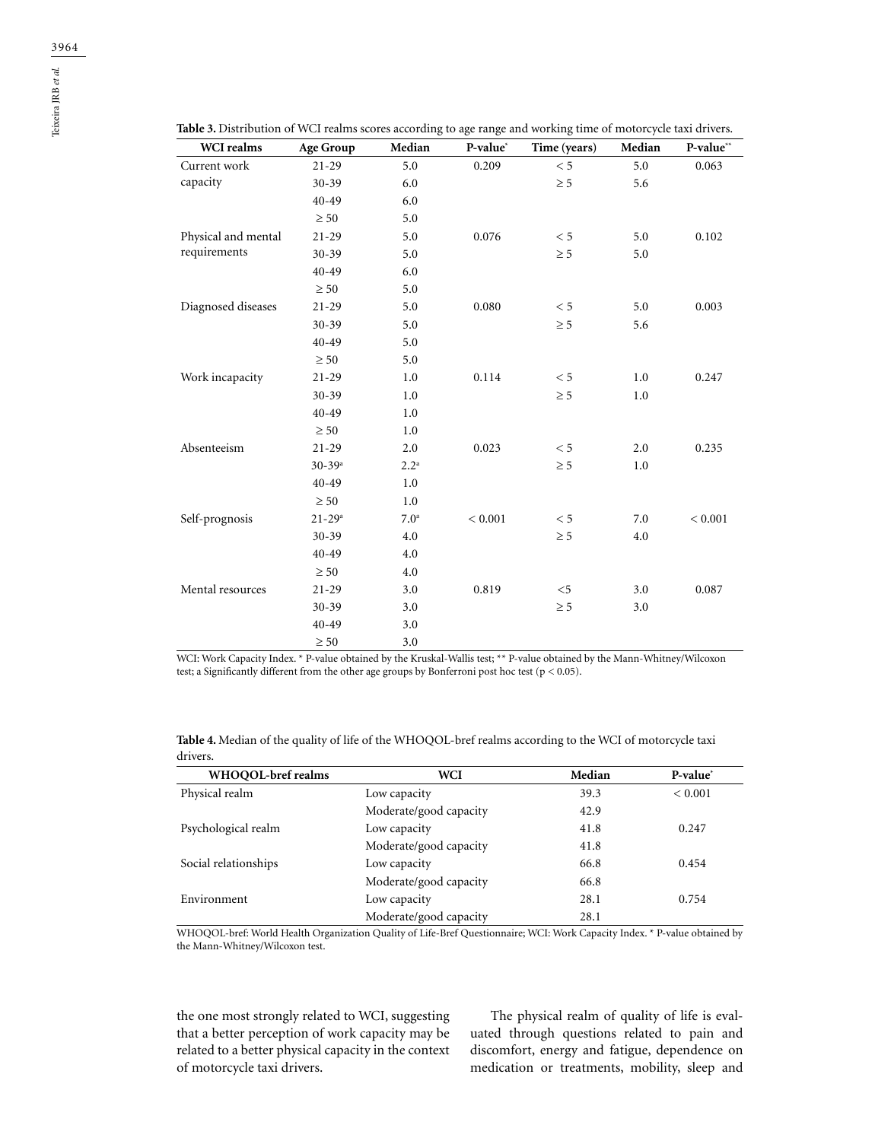| WCI realms          | <b>Age Group</b>       | Median           | P-value* | Time (years) | Median | P-value** |
|---------------------|------------------------|------------------|----------|--------------|--------|-----------|
| Current work        | $21 - 29$              | 5.0              | 0.209    | $< 5\,$      | 5.0    | 0.063     |
| capacity            | $30 - 39$              | 6.0              |          | $\geq 5$     | 5.6    |           |
|                     | $40 - 49$              | 6.0              |          |              |        |           |
|                     | $\geq 50$              | 5.0              |          |              |        |           |
| Physical and mental | $21 - 29$              | 5.0              | 0.076    | < 5          | 5.0    | 0.102     |
| requirements        | $30 - 39$              | 5.0              |          | $\geq 5$     | 5.0    |           |
|                     | $40 - 49$              | 6.0              |          |              |        |           |
|                     | $\geq 50$              | 5.0              |          |              |        |           |
| Diagnosed diseases  | $21 - 29$              | 5.0              | 0.080    | < 5          | 5.0    | 0.003     |
|                     | $30 - 39$              | 5.0              |          | $\geq 5$     | 5.6    |           |
|                     | $40 - 49$              | 5.0              |          |              |        |           |
|                     | $\geq 50$              | 5.0              |          |              |        |           |
| Work incapacity     | $21 - 29$              | 1.0              | 0.114    | < 5          | 1.0    | 0.247     |
|                     | $30 - 39$              | 1.0              |          | $\geq 5$     | 1.0    |           |
|                     | 40-49                  | 1.0              |          |              |        |           |
|                     | $\geq 50$              | 1.0              |          |              |        |           |
| Absenteeism         | $21 - 29$              | 2.0              | 0.023    | < 5          | 2.0    | 0.235     |
|                     | $30 - 39$ <sup>a</sup> | $2.2^{\rm a}$    |          | $\geq 5$     | 1.0    |           |
|                     | $40 - 49$              | 1.0              |          |              |        |           |
|                     | $\geq 50$              | $1.0\,$          |          |              |        |           |
| Self-prognosis      | $21 - 29$ <sup>a</sup> | 7.0 <sup>a</sup> | < 0.001  | < 5          | 7.0    | < 0.001   |
|                     | $30 - 39$              | 4.0              |          | $\geq 5$     | 4.0    |           |
|                     | $40 - 49$              | 4.0              |          |              |        |           |
|                     | $\geq 50$              | 4.0              |          |              |        |           |
| Mental resources    | $21-29$                | 3.0              | 0.819    | $<$ 5        | 3.0    | 0.087     |
|                     | $30 - 39$              | 3.0              |          | $\geq 5$     | 3.0    |           |
|                     | $40 - 49$              | 3.0              |          |              |        |           |
|                     | $\geq 50$              | 3.0              |          |              |        |           |

**Table 3.** Distribution of WCI realms scores according to age range and working time of motorcycle taxi drivers.

WCI: Work Capacity Index. \* P-value obtained by the Kruskal-Wallis test; \*\* P-value obtained by the Mann-Whitney/Wilcoxon test; a Significantly different from the other age groups by Bonferroni post hoc test ( $p < 0.05$ ).

| Table 4. Median of the quality of life of the WHOQOL-bref realms according to the WCI of motorcycle taxi |
|----------------------------------------------------------------------------------------------------------|
| drivers.                                                                                                 |

| WHOOOL-bref realms   | WCI                    | Median | P-value*    |
|----------------------|------------------------|--------|-------------|
| Physical realm       | Low capacity           | 39.3   | ${}< 0.001$ |
|                      | Moderate/good capacity | 42.9   |             |
| Psychological realm  | Low capacity           | 41.8   | 0.247       |
|                      | Moderate/good capacity | 41.8   |             |
| Social relationships | Low capacity           | 66.8   | 0.454       |
|                      | Moderate/good capacity | 66.8   |             |
| Environment          | Low capacity           | 28.1   | 0.754       |
|                      | Moderate/good capacity | 28.1   |             |

WHOQOL-bref: World Health Organization Quality of Life-Bref Questionnaire; WCI: Work Capacity Index. \* P-value obtained by the Mann-Whitney/Wilcoxon test.

the one most strongly related to WCI, suggesting that a better perception of work capacity may be related to a better physical capacity in the context of motorcycle taxi drivers.

The physical realm of quality of life is evaluated through questions related to pain and discomfort, energy and fatigue, dependence on medication or treatments, mobility, sleep and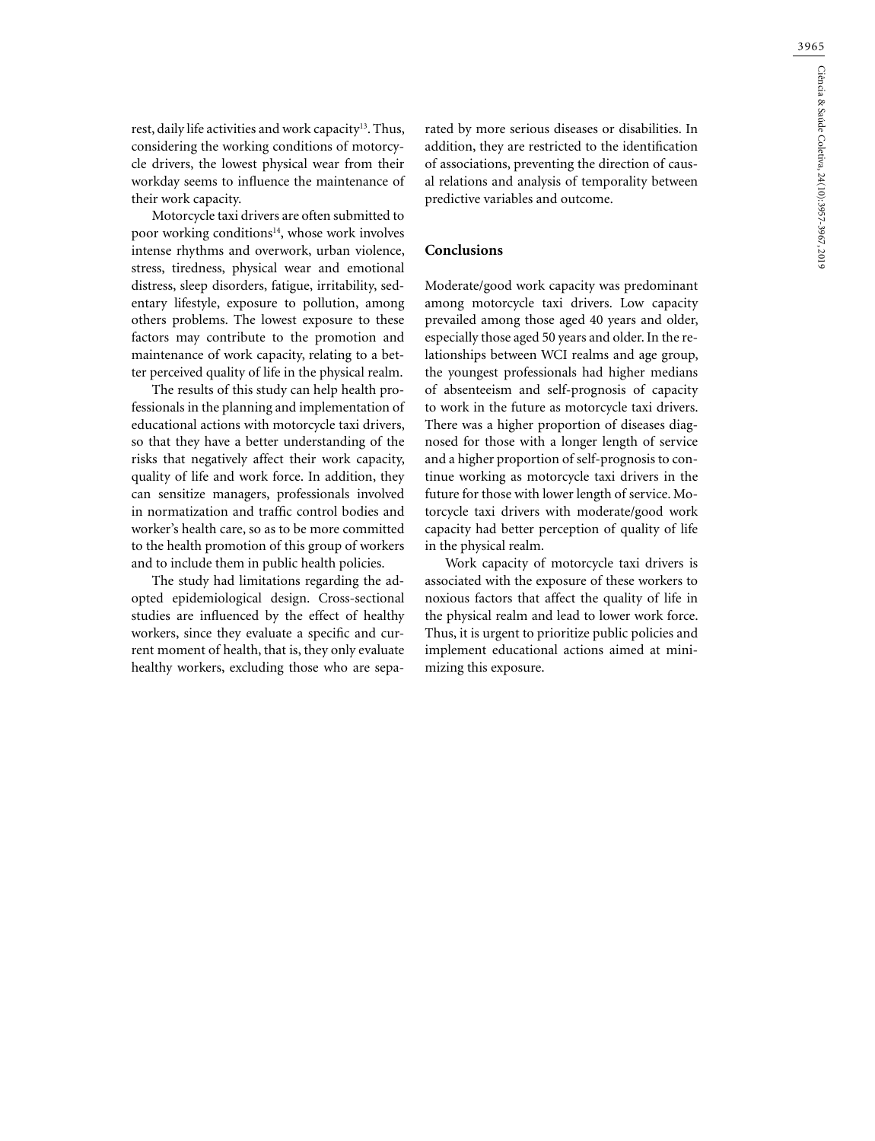rest, daily life activities and work capacity<sup>13</sup>. Thus, considering the working conditions of motorcycle drivers, the lowest physical wear from their workday seems to influence the maintenance of their work capacity.

Motorcycle taxi drivers are often submitted to poor working conditions<sup>14</sup>, whose work involves intense rhythms and overwork, urban violence, stress, tiredness, physical wear and emotional distress, sleep disorders, fatigue, irritability, sedentary lifestyle, exposure to pollution, among others problems. The lowest exposure to these factors may contribute to the promotion and maintenance of work capacity, relating to a better perceived quality of life in the physical realm.

The results of this study can help health professionals in the planning and implementation of educational actions with motorcycle taxi drivers, so that they have a better understanding of the risks that negatively affect their work capacity, quality of life and work force. In addition, they can sensitize managers, professionals involved in normatization and traffic control bodies and worker's health care, so as to be more committed to the health promotion of this group of workers and to include them in public health policies.

The study had limitations regarding the adopted epidemiological design. Cross-sectional studies are influenced by the effect of healthy workers, since they evaluate a specific and current moment of health, that is, they only evaluate healthy workers, excluding those who are separated by more serious diseases or disabilities. In addition, they are restricted to the identification of associations, preventing the direction of causal relations and analysis of temporality between predictive variables and outcome.

## **Conclusions**

Moderate/good work capacity was predominant among motorcycle taxi drivers. Low capacity prevailed among those aged 40 years and older, especially those aged 50 years and older. In the relationships between WCI realms and age group, the youngest professionals had higher medians of absenteeism and self-prognosis of capacity to work in the future as motorcycle taxi drivers. There was a higher proportion of diseases diagnosed for those with a longer length of service and a higher proportion of self-prognosis to continue working as motorcycle taxi drivers in the future for those with lower length of service. Motorcycle taxi drivers with moderate/good work capacity had better perception of quality of life in the physical realm.

Work capacity of motorcycle taxi drivers is associated with the exposure of these workers to noxious factors that affect the quality of life in the physical realm and lead to lower work force. Thus, it is urgent to prioritize public policies and implement educational actions aimed at minimizing this exposure.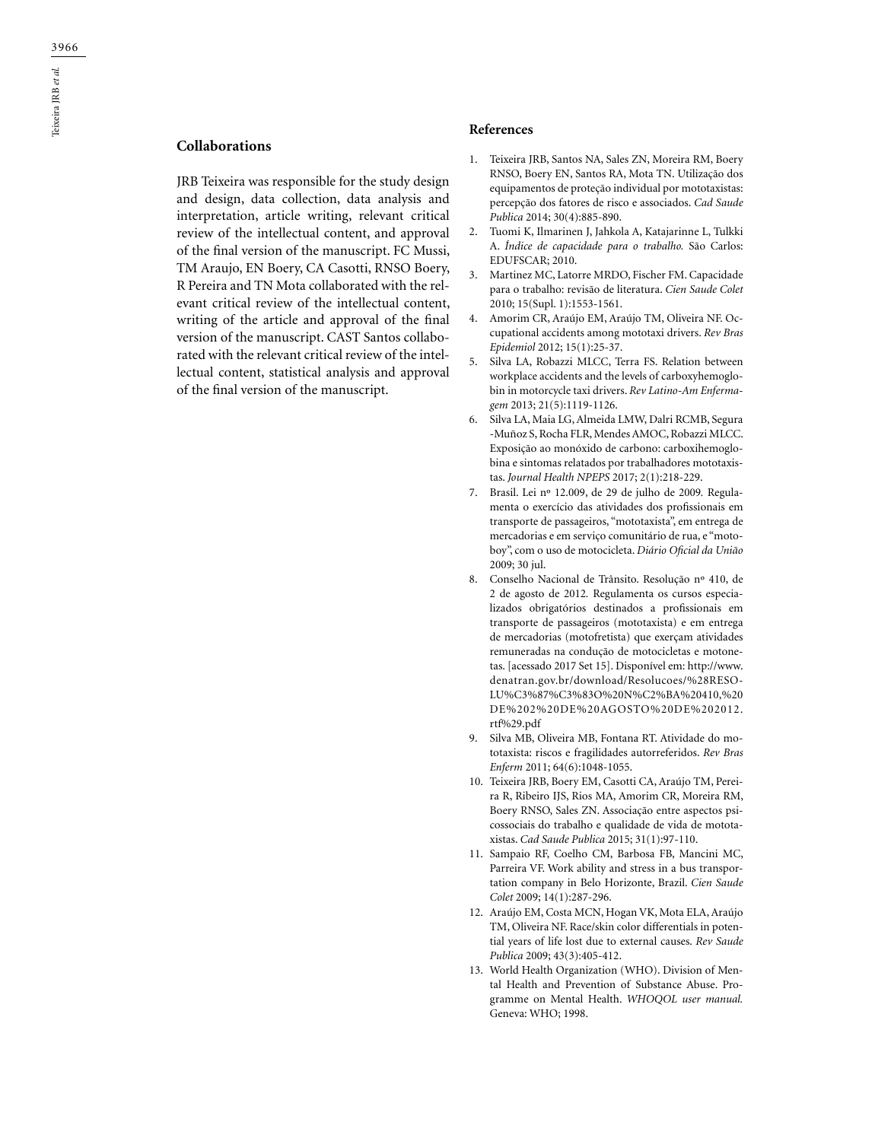# **Collaborations**

JRB Teixeira was responsible for the study design and design, data collection, data analysis and interpretation, article writing, relevant critical review of the intellectual content, and approval of the final version of the manuscript. FC Mussi, TM Araujo, EN Boery, CA Casotti, RNSO Boery, R Pereira and TN Mota collaborated with the relevant critical review of the intellectual content, writing of the article and approval of the final version of the manuscript. CAST Santos collaborated with the relevant critical review of the intellectual content, statistical analysis and approval of the final version of the manuscript.

#### **References**

- 1. Teixeira JRB, Santos NA, Sales ZN, Moreira RM, Boery RNSO, Boery EN, Santos RA, Mota TN. Utilização dos equipamentos de proteção individual por mototaxistas: percepção dos fatores de risco e associados. *Cad Saude Publica* 2014; 30(4):885-890.
- 2. Tuomi K, Ilmarinen J, Jahkola A, Katajarinne L, Tulkki A. *Índice de capacidade para o trabalho.* São Carlos: EDUFSCAR; 2010.
- 3. Martinez MC, Latorre MRDO, Fischer FM. Capacidade para o trabalho: revisão de literatura. *Cien Saude Colet* 2010; 15(Supl. 1):1553-1561.
- 4. Amorim CR, Araújo EM, Araújo TM, Oliveira NF. Occupational accidents among mototaxi drivers. *Rev Bras Epidemiol* 2012; 15(1):25-37.
- 5. Silva LA, Robazzi MLCC, Terra FS. Relation between workplace accidents and the levels of carboxyhemoglobin in motorcycle taxi drivers. *Rev Latino-Am Enfermagem* 2013; 21(5):1119-1126.
- 6. Silva LA, Maia LG, Almeida LMW, Dalri RCMB, Segura -Muñoz S, Rocha FLR, Mendes AMOC, Robazzi MLCC. Exposição ao monóxido de carbono: carboxihemoglobina e sintomas relatados por trabalhadores mototaxistas. *Journal Health NPEPS* 2017; 2(1):218-229.
- 7. Brasil. Lei nº 12.009, de 29 de julho de 2009*.* Regulamenta o exercício das atividades dos profissionais em transporte de passageiros, "mototaxista", em entrega de mercadorias e em serviço comunitário de rua, e "motoboy", com o uso de motocicleta. *Diário Oficial da União* 2009; 30 jul.
- 8. Conselho Nacional de Trânsito. Resolução nº 410, de 2 de agosto de 2012*.* Regulamenta os cursos especializados obrigatórios destinados a profissionais em transporte de passageiros (mototaxista) e em entrega de mercadorias (motofretista) que exerçam atividades remuneradas na condução de motocicletas e motonetas. [acessado 2017 Set 15]. Disponível em: http://www. denatran.gov.br/download/Resolucoes/%28RESO-LU%C3%87%C3%83O%20N%C2%BA%20410,%20 DE%202%20DE%20AGOSTO%20DE%202012. rtf%29.pdf
- 9. Silva MB, Oliveira MB, Fontana RT. Atividade do mototaxista: riscos e fragilidades autorreferidos. *Rev Bras Enferm* 2011; 64(6):1048-1055.
- 10. Teixeira JRB, Boery EM, Casotti CA, Araújo TM, Pereira R, Ribeiro IJS, Rios MA, Amorim CR, Moreira RM, Boery RNSO, Sales ZN. Associação entre aspectos psicossociais do trabalho e qualidade de vida de mototaxistas. *Cad Saude Publica* 2015; 31(1):97-110.
- 11. Sampaio RF, Coelho CM, Barbosa FB, Mancini MC, Parreira VF. Work ability and stress in a bus transportation company in Belo Horizonte, Brazil. *Cien Saude Colet* 2009; 14(1):287-296.
- 12. Araújo EM, Costa MCN, Hogan VK, Mota ELA, Araújo TM, Oliveira NF. Race/skin color differentials in potential years of life lost due to external causes. *Rev Saude Publica* 2009; 43(3):405-412.
- 13. World Health Organization (WHO). Division of Mental Health and Prevention of Substance Abuse. Programme on Mental Health. *WHOQOL user manual.* Geneva: WHO; 1998.